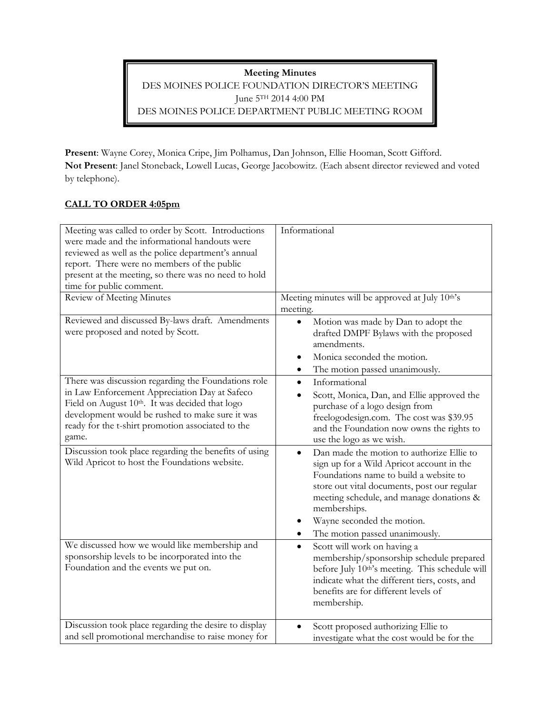**Meeting Minutes** DES MOINES POLICE FOUNDATION DIRECTOR'S MEETING June 5TH 2014 4:00 PM DES MOINES POLICE DEPARTMENT PUBLIC MEETING ROOM

**Present**: Wayne Corey, Monica Cripe, Jim Polhamus, Dan Johnson, Ellie Hooman, Scott Gifford. **Not Present**: Janel Stoneback, Lowell Lucas, George Jacobowitz. (Each absent director reviewed and voted by telephone).

## **CALL TO ORDER 4:05pm**

| Meeting was called to order by Scott. Introductions<br>were made and the informational handouts were<br>reviewed as well as the police department's annual<br>report. There were no members of the public<br>present at the meeting, so there was no need to hold<br>time for public comment. | Informational                                                                                                                                                                                                                                                                                                            |
|-----------------------------------------------------------------------------------------------------------------------------------------------------------------------------------------------------------------------------------------------------------------------------------------------|--------------------------------------------------------------------------------------------------------------------------------------------------------------------------------------------------------------------------------------------------------------------------------------------------------------------------|
| Review of Meeting Minutes                                                                                                                                                                                                                                                                     | Meeting minutes will be approved at July 10 <sup>th</sup> 's<br>meeting.                                                                                                                                                                                                                                                 |
| Reviewed and discussed By-laws draft. Amendments<br>were proposed and noted by Scott.                                                                                                                                                                                                         | Motion was made by Dan to adopt the<br>$\bullet$<br>drafted DMPF Bylaws with the proposed<br>amendments.<br>Monica seconded the motion.<br>$\bullet$<br>The motion passed unanimously.<br>$\bullet$                                                                                                                      |
| There was discussion regarding the Foundations role<br>in Law Enforcement Appreciation Day at Safeco<br>Field on August 10th. It was decided that logo<br>development would be rushed to make sure it was<br>ready for the t-shirt promotion associated to the<br>game.                       | Informational<br>$\bullet$<br>Scott, Monica, Dan, and Ellie approved the<br>purchase of a logo design from<br>freelogodesign.com. The cost was \$39.95<br>and the Foundation now owns the rights to<br>use the logo as we wish.                                                                                          |
| Discussion took place regarding the benefits of using<br>Wild Apricot to host the Foundations website.                                                                                                                                                                                        | Dan made the motion to authorize Ellie to<br>$\bullet$<br>sign up for a Wild Apricot account in the<br>Foundations name to build a website to<br>store out vital documents, post our regular<br>meeting schedule, and manage donations &<br>memberships.<br>Wayne seconded the motion.<br>The motion passed unanimously. |
| We discussed how we would like membership and<br>sponsorship levels to be incorporated into the<br>Foundation and the events we put on.                                                                                                                                                       | Scott will work on having a<br>$\bullet$<br>membership/sponsorship schedule prepared<br>before July 10th's meeting. This schedule will<br>indicate what the different tiers, costs, and<br>benefits are for different levels of<br>membership.                                                                           |
| Discussion took place regarding the desire to display<br>and sell promotional merchandise to raise money for                                                                                                                                                                                  | Scott proposed authorizing Ellie to<br>investigate what the cost would be for the                                                                                                                                                                                                                                        |